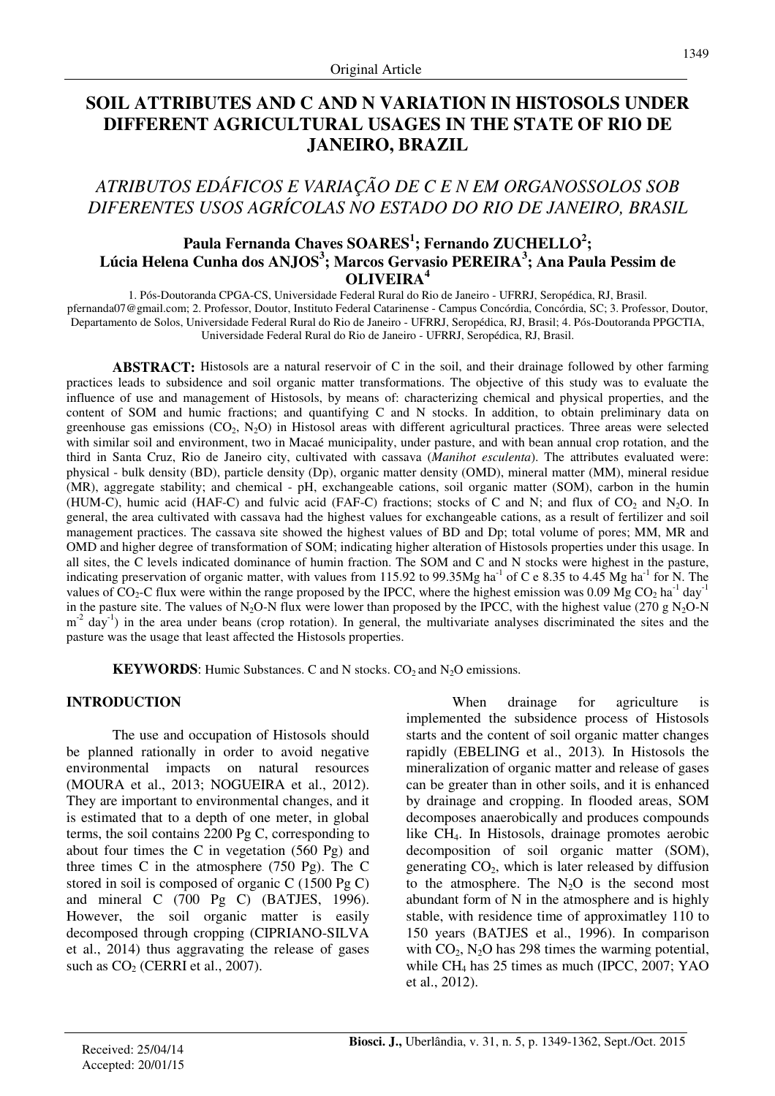# **SOIL ATTRIBUTES AND C AND N VARIATION IN HISTOSOLS UNDER DIFFERENT AGRICULTURAL USAGES IN THE STATE OF RIO DE JANEIRO, BRAZIL**

# *ATRIBUTOS EDÁFICOS E VARIAÇÃO DE C E N EM ORGANOSSOLOS SOB DIFERENTES USOS AGRÍCOLAS NO ESTADO DO RIO DE JANEIRO, BRASIL*

# **Paula Fernanda Chaves SOARES<sup>1</sup> ; Fernando ZUCHELLO<sup>2</sup> ; Lúcia Helena Cunha dos ANJOS<sup>3</sup> ; Marcos Gervasio PEREIRA<sup>3</sup> ; Ana Paula Pessim de OLIVEIRA<sup>4</sup>**

1. Pós-Doutoranda CPGA-CS, Universidade Federal Rural do Rio de Janeiro - UFRRJ, Seropédica, RJ, Brasil. pfernanda07@gmail.com; 2. Professor, Doutor, Instituto Federal Catarinense - Campus Concórdia, Concórdia, SC; 3. Professor, Doutor, Departamento de Solos, Universidade Federal Rural do Rio de Janeiro - UFRRJ, Seropédica, RJ, Brasil; 4. Pós-Doutoranda PPGCTIA, Universidade Federal Rural do Rio de Janeiro - UFRRJ, Seropédica, RJ, Brasil.

**ABSTRACT:** Histosols are a natural reservoir of C in the soil, and their drainage followed by other farming practices leads to subsidence and soil organic matter transformations. The objective of this study was to evaluate the influence of use and management of Histosols, by means of: characterizing chemical and physical properties, and the content of SOM and humic fractions; and quantifying C and N stocks. In addition, to obtain preliminary data on greenhouse gas emissions  $(CO_2, N_2O)$  in Histosol areas with different agricultural practices. Three areas were selected with similar soil and environment, two in Macaé municipality, under pasture, and with bean annual crop rotation, and the third in Santa Cruz, Rio de Janeiro city, cultivated with cassava (*Manihot esculenta*). The attributes evaluated were: physical - bulk density (BD), particle density (Dp), organic matter density (OMD), mineral matter (MM), mineral residue (MR), aggregate stability; and chemical - pH, exchangeable cations, soil organic matter (SOM), carbon in the humin (HUM-C), humic acid (HAF-C) and fulvic acid (FAF-C) fractions; stocks of C and N; and flux of  $CO_2$  and N<sub>2</sub>O. In general, the area cultivated with cassava had the highest values for exchangeable cations, as a result of fertilizer and soil management practices. The cassava site showed the highest values of BD and Dp; total volume of pores; MM, MR and OMD and higher degree of transformation of SOM; indicating higher alteration of Histosols properties under this usage. In all sites, the C levels indicated dominance of humin fraction. The SOM and C and N stocks were highest in the pasture, indicating preservation of organic matter, with values from 115.92 to 99.35Mg ha<sup>-1</sup> of C e 8.35 to 4.45 Mg ha<sup>-1</sup> for N. The values of  $CO_2$ -C flux were within the range proposed by the IPCC, where the highest emission was 0.09 Mg CO<sub>2</sub> ha<sup>-1</sup> day<sup>-1</sup> in the pasture site. The values of N<sub>2</sub>O-N flux were lower than proposed by the IPCC, with the highest value (270 g N<sub>2</sub>O-N  $m<sup>2</sup>$  day<sup>-1</sup>) in the area under beans (crop rotation). In general, the multivariate analyses discriminated the sites and the pasture was the usage that least affected the Histosols properties.

**KEYWORDS:** Humic Substances. C and N stocks.  $CO_2$  and  $N_2O$  emissions.

## **INTRODUCTION**

The use and occupation of Histosols should be planned rationally in order to avoid negative environmental impacts on natural resources (MOURA et al., 2013; NOGUEIRA et al., 2012). They are important to environmental changes, and it is estimated that to a depth of one meter, in global terms, the soil contains 2200 Pg C, corresponding to about four times the C in vegetation  $(560 \text{ Pe})$  and three times C in the atmosphere (750 Pg). The C stored in soil is composed of organic C (1500 Pg C) and mineral C (700 Pg C) (BATJES, 1996). However, the soil organic matter is easily decomposed through cropping (CIPRIANO-SILVA et al., 2014) thus aggravating the release of gases such as  $CO<sub>2</sub>$  (CERRI et al., 2007).

When drainage for agriculture is implemented the subsidence process of Histosols starts and the content of soil organic matter changes rapidly (EBELING et al., 2013)*.* In Histosols the mineralization of organic matter and release of gases can be greater than in other soils, and it is enhanced by drainage and cropping. In flooded areas, SOM decomposes anaerobically and produces compounds like CH4. In Histosols, drainage promotes aerobic decomposition of soil organic matter (SOM), generating  $CO<sub>2</sub>$ , which is later released by diffusion to the atmosphere. The  $N_2O$  is the second most abundant form of N in the atmosphere and is highly stable, with residence time of approximatley 110 to 150 years (BATJES et al., 1996). In comparison with  $CO<sub>2</sub>$ , N<sub>2</sub>O has 298 times the warming potential, while CH4 has 25 times as much (IPCC, 2007; YAO et al., 2012).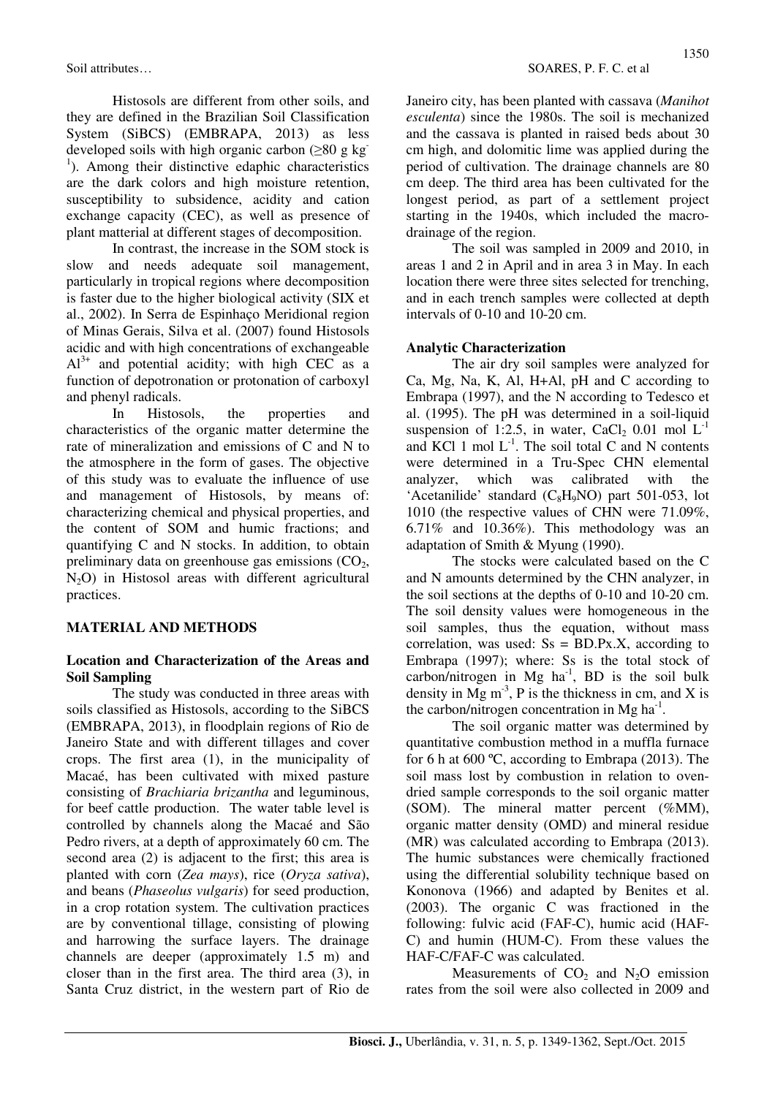Histosols are different from other soils, and they are defined in the Brazilian Soil Classification System (SiBCS) (EMBRAPA, 2013) as less developed soils with high organic carbon ( $\geq 80$  g kg) <sup>1</sup>). Among their distinctive edaphic characteristics are the dark colors and high moisture retention, susceptibility to subsidence, acidity and cation exchange capacity (CEC), as well as presence of plant matterial at different stages of decomposition.

In contrast, the increase in the SOM stock is slow and needs adequate soil management, particularly in tropical regions where decomposition is faster due to the higher biological activity (SIX et al., 2002). In Serra de Espinhaço Meridional region of Minas Gerais, Silva et al. (2007) found Histosols acidic and with high concentrations of exchangeable  $Al^{3+}$  and potential acidity; with high CEC as a function of depotronation or protonation of carboxyl and phenyl radicals.

In Histosols, the properties and characteristics of the organic matter determine the rate of mineralization and emissions of C and N to the atmosphere in the form of gases. The objective of this study was to evaluate the influence of use and management of Histosols, by means of: characterizing chemical and physical properties, and the content of SOM and humic fractions; and quantifying C and N stocks. In addition, to obtain preliminary data on greenhouse gas emissions  $(CO<sub>2</sub>)$ ,  $N<sub>2</sub>O$  in Histosol areas with different agricultural practices.

## **MATERIAL AND METHODS**

## **Location and Characterization of the Areas and Soil Sampling**

The study was conducted in three areas with soils classified as Histosols, according to the SiBCS (EMBRAPA, 2013), in floodplain regions of Rio de Janeiro State and with different tillages and cover crops. The first area (1), in the municipality of Macaé, has been cultivated with mixed pasture consisting of *Brachiaria brizantha* and leguminous, for beef cattle production. The water table level is controlled by channels along the Macaé and São Pedro rivers, at a depth of approximately 60 cm. The second area (2) is adjacent to the first; this area is planted with corn (*Zea mays*), rice (*Oryza sativa*), and beans (*Phaseolus vulgaris*) for seed production, in a crop rotation system. The cultivation practices are by conventional tillage, consisting of plowing and harrowing the surface layers. The drainage channels are deeper (approximately 1.5 m) and closer than in the first area. The third area (3), in Santa Cruz district, in the western part of Rio de

Janeiro city, has been planted with cassava (*Manihot esculenta*) since the 1980s. The soil is mechanized and the cassava is planted in raised beds about 30 cm high, and dolomitic lime was applied during the period of cultivation. The drainage channels are 80 cm deep. The third area has been cultivated for the longest period, as part of a settlement project starting in the 1940s, which included the macrodrainage of the region.

The soil was sampled in 2009 and 2010, in areas 1 and 2 in April and in area 3 in May. In each location there were three sites selected for trenching, and in each trench samples were collected at depth intervals of 0-10 and 10-20 cm.

## **Analytic Characterization**

The air dry soil samples were analyzed for Ca, Mg, Na, K, Al, H+Al, pH and C according to Embrapa (1997), and the N according to Tedesco et al. (1995). The pH was determined in a soil-liquid suspension of 1:2.5, in water, CaCl<sub>2</sub> 0.01 mol  $L^{-1}$ and KCl 1 mol  $L^{-1}$ . The soil total C and N contents were determined in a Tru-Spec CHN elemental analyzer, which was calibrated with the 'Acetanilide' standard  $(C_8H_9NO)$  part 501-053, lot 1010 (the respective values of CHN were 71.09%, 6.71% and 10.36%). This methodology was an adaptation of Smith & Myung (1990).

The stocks were calculated based on the C and N amounts determined by the CHN analyzer, in the soil sections at the depths of 0-10 and 10-20 cm. The soil density values were homogeneous in the soil samples, thus the equation, without mass correlation, was used:  $S_s = B D.Px.X$ , according to Embrapa (1997); where: Ss is the total stock of carbon/nitrogen in Mg  $ha^{-1}$ , BD is the soil bulk density in  $Mg$  m<sup>-3</sup>, P is the thickness in cm, and X is the carbon/nitrogen concentration in Mg ha<sup>-1</sup>.

The soil organic matter was determined by quantitative combustion method in a muffla furnace for 6 h at 600 ºC, according to Embrapa (2013). The soil mass lost by combustion in relation to ovendried sample corresponds to the soil organic matter (SOM). The mineral matter percent (%MM), organic matter density (OMD) and mineral residue (MR) was calculated according to Embrapa (2013). The humic substances were chemically fractioned using the differential solubility technique based on Kononova (1966) and adapted by Benites et al. (2003). The organic C was fractioned in the following: fulvic acid (FAF-C), humic acid (HAF-C) and humin (HUM-C). From these values the HAF-C/FAF-C was calculated.

Measurements of  $CO<sub>2</sub>$  and N<sub>2</sub>O emission rates from the soil were also collected in 2009 and

1350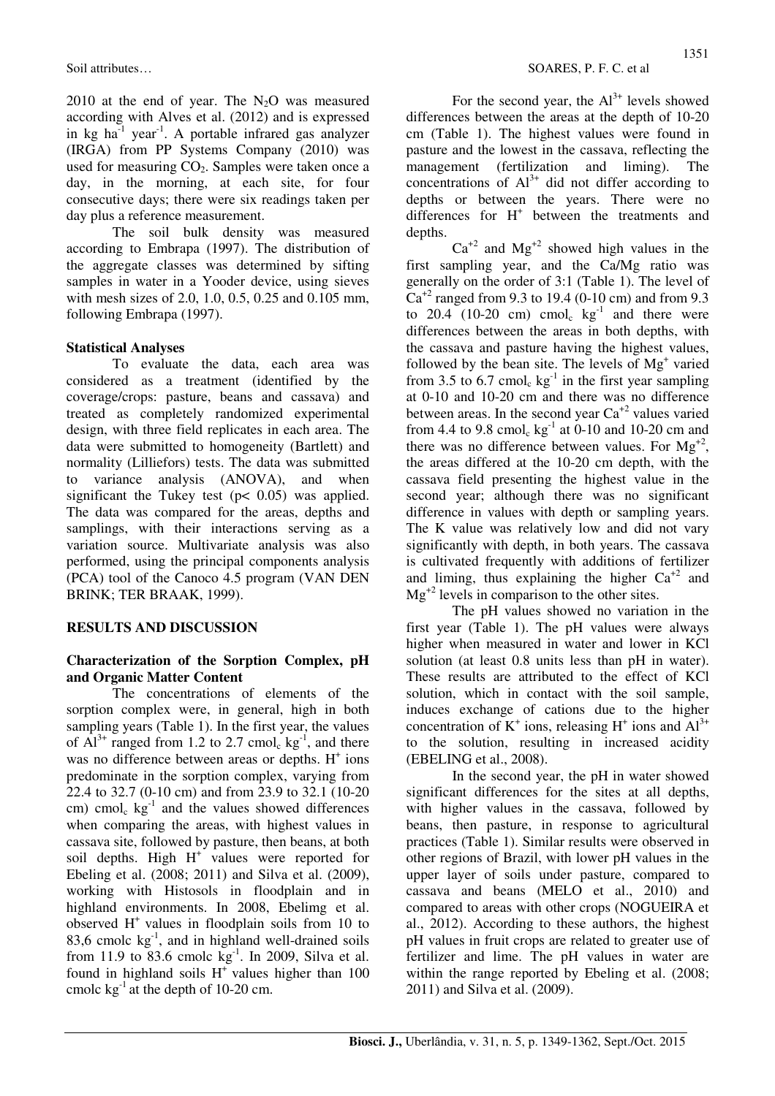2010 at the end of year. The  $N_2O$  was measured according with Alves et al. (2012) and is expressed in  $kg$  ha $^{-1}$  year<sup>-1</sup>. A portable infrared gas analyzer (IRGA) from PP Systems Company (2010) was used for measuring  $CO<sub>2</sub>$ . Samples were taken once a day, in the morning, at each site, for four consecutive days; there were six readings taken per day plus a reference measurement.

The soil bulk density was measured according to Embrapa (1997). The distribution of the aggregate classes was determined by sifting samples in water in a Yooder device, using sieves with mesh sizes of 2.0, 1.0, 0.5, 0.25 and 0.105 mm, following Embrapa (1997).

# **Statistical Analyses**

To evaluate the data, each area was considered as a treatment (identified by the coverage/crops: pasture, beans and cassava) and treated as completely randomized experimental design, with three field replicates in each area. The data were submitted to homogeneity (Bartlett) and normality (Lilliefors) tests. The data was submitted to variance analysis (ANOVA), and when significant the Tukey test ( $p < 0.05$ ) was applied. The data was compared for the areas, depths and samplings, with their interactions serving as a variation source. Multivariate analysis was also performed, using the principal components analysis (PCA) tool of the Canoco 4.5 program (VAN DEN BRINK; TER BRAAK, 1999).

## **RESULTS AND DISCUSSION**

# **Characterization of the Sorption Complex, pH and Organic Matter Content**

The concentrations of elements of the sorption complex were, in general, high in both sampling years (Table 1). In the first year, the values of  $Al^{3+}$  ranged from 1.2 to 2.7 cmol<sub>c</sub> kg<sup>-1</sup>, and there was no difference between areas or depths.  $H^+$  ions predominate in the sorption complex, varying from 22.4 to 32.7 (0-10 cm) and from 23.9 to 32.1 (10-20 cm) cmol<sub>c</sub>  $kg^{-1}$  and the values showed differences when comparing the areas, with highest values in cassava site, followed by pasture, then beans, at both soil depths. High  $H^+$  values were reported for Ebeling et al. (2008; 2011) and Silva et al. (2009), working with Histosols in floodplain and in highland environments. In 2008, Ebelimg et al. observed  $H^+$  values in floodplain soils from 10 to 83,6 cmolc  $kg^{-1}$ , and in highland well-drained soils from 11.9 to 83.6 cmolc  $kg^{-1}$ . In 2009, Silva et al. found in highland soils  $H<sup>+</sup>$  values higher than 100 cmolc  $kg^{-1}$  at the depth of 10-20 cm.

For the second year, the  $Al^{3+}$  levels showed differences between the areas at the depth of 10-20 cm (Table 1). The highest values were found in pasture and the lowest in the cassava, reflecting the management (fertilization and liming). The concentrations of  $Al^{3+}$  did not differ according to depths or between the years. There were no differences for H<sup>+</sup> between the treatments and depths.

 $Ca^{+2}$  and  $Mg^{+2}$  showed high values in the first sampling year, and the Ca/Mg ratio was generally on the order of 3:1 (Table 1). The level of  $Ca<sup>+2</sup>$  ranged from 9.3 to 19.4 (0-10 cm) and from 9.3 to  $20.4$  (10-20 cm) cmol<sub>c</sub>  $kg^{-1}$  and there were differences between the areas in both depths, with the cassava and pasture having the highest values, followed by the bean site. The levels of Mg<sup>+</sup> varied from 3.5 to 6.7 cmol<sub>c</sub>  $kg^{-1}$  in the first year sampling at 0-10 and 10-20 cm and there was no difference between areas. In the second year  $Ca^{+2}$  values varied from 4.4 to 9.8 cmol<sub>c</sub>  $kg^{-1}$  at 0-10 and 10-20 cm and there was no difference between values. For  $Mg^{+2}$ , the areas differed at the 10-20 cm depth, with the cassava field presenting the highest value in the second year; although there was no significant difference in values with depth or sampling years. The K value was relatively low and did not vary significantly with depth, in both years. The cassava is cultivated frequently with additions of fertilizer and liming, thus explaining the higher  $Ca^{+2}$  and  $Mg<sup>+2</sup>$  levels in comparison to the other sites.

The pH values showed no variation in the first year (Table 1). The pH values were always higher when measured in water and lower in KCl solution (at least 0.8 units less than pH in water). These results are attributed to the effect of KCl solution, which in contact with the soil sample, induces exchange of cations due to the higher concentration of  $K^+$  ions, releasing H<sup>+</sup> ions and  $Al^{3+}$ to the solution, resulting in increased acidity (EBELING et al., 2008).

In the second year, the pH in water showed significant differences for the sites at all depths, with higher values in the cassava, followed by beans, then pasture, in response to agricultural practices (Table 1). Similar results were observed in other regions of Brazil, with lower pH values in the upper layer of soils under pasture, compared to cassava and beans (MELO et al., 2010) and compared to areas with other crops (NOGUEIRA et al., 2012). According to these authors, the highest pH values in fruit crops are related to greater use of fertilizer and lime. The pH values in water are within the range reported by Ebeling et al. (2008; 2011) and Silva et al. (2009).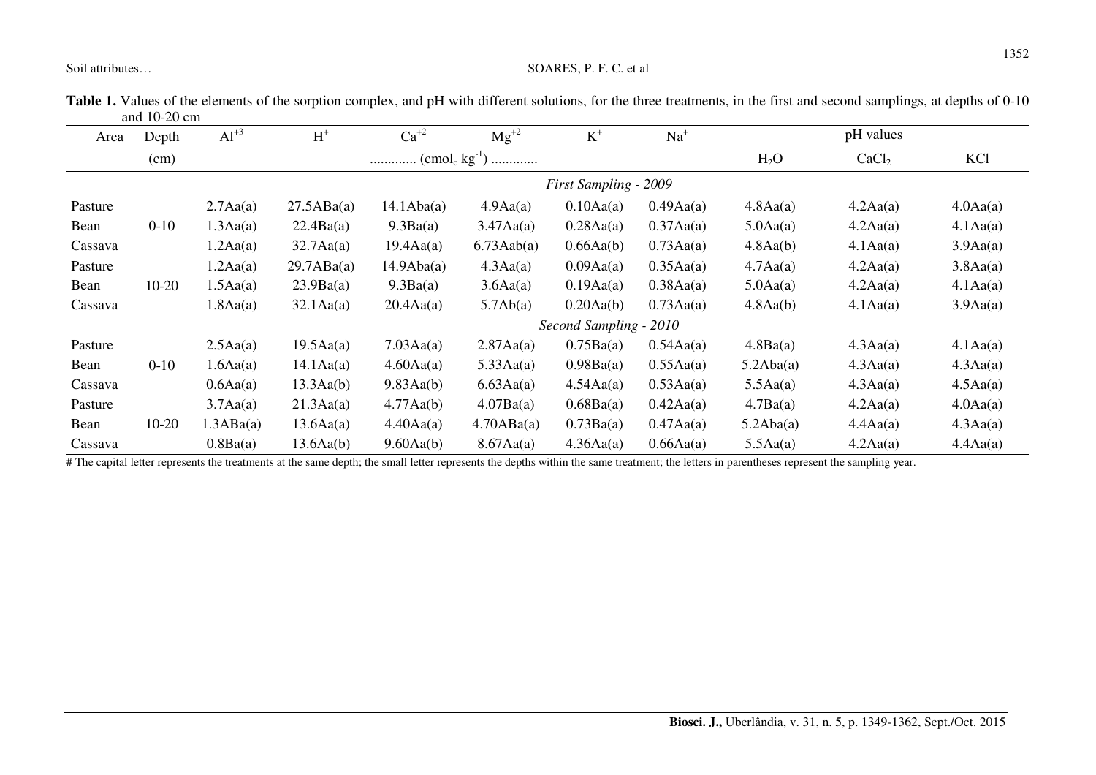| Area    | Depth     | $Al^{+3}$ | $H^+$                  | $Ca^{+2}$             | $Mg^{+2}$          | $K^+$     | $Na+$              |           | pH values         |                   |  |  |
|---------|-----------|-----------|------------------------|-----------------------|--------------------|-----------|--------------------|-----------|-------------------|-------------------|--|--|
|         | (cm)      |           |                        |                       |                    |           |                    |           | CaCl <sub>2</sub> | KC1               |  |  |
|         |           |           |                        | First Sampling - 2009 |                    |           |                    |           |                   |                   |  |  |
| Pasture |           | 2.7Aa(a)  | 27.5ABa(a)             | 14.1Aba(a)            | 4.9Aa(a)           | 0.10Aa(a) | 0.49Aa(a)          | 4.8Aa(a)  | 4.2Aa(a)          | 4.0Aa(a)          |  |  |
| Bean    | $0 - 10$  | 1.3Aa(a)  | 22.4Ba(a)              | 9.3Ba(a)              | $3.47\text{Aa(a)}$ | 0.28Aa(a) | 0.37Aa(a)          | 5.0Aa(a)  | 4.2Aa(a)          | 4.1Aa(a)          |  |  |
| Cassava |           | 1.2Aa(a)  | $32.7\text{Aa(a)}$     | 19.4Aa(a)             | $6.73$ Aab $(a)$   | 0.66Aa(b) | 0.73Aa(a)          | 4.8Aa(b)  | 4.1Aa(a)          | 3.9Aa(a)          |  |  |
| Pasture |           | 1.2Aa(a)  | 29.7ABa(a)             | 14.9Aba(a)            | 4.3Aa(a)           | 0.09Aa(a) | 0.35Aa(a)          | 4.7Aa(a)  | 4.2Aa(a)          | 3.8Aa(a)          |  |  |
| Bean    | $10-20$   | 1.5Aa(a)  | 23.9Ba(a)              | 9.3Ba(a)              | 3.6Aa(a)           | 0.19Aa(a) | 0.38Aa(a)          | 5.0Aa(a)  | 4.2Aa(a)          | 4.1Aa(a)          |  |  |
| Cassava |           | 1.8Aa(a)  | $32.1\text{Aa}(a)$     | 20.4Aa(a)             | 5.7Ab(a)           | 0.20Aa(b) | 0.73Aa(a)          | 4.8Aa(b)  | 4.1Aa(a)          | 3.9Aa(a)          |  |  |
|         |           |           | Second Sampling - 2010 |                       |                    |           |                    |           |                   |                   |  |  |
| Pasture |           | 2.5Aa(a)  | 19.5Aa(a)              | 7.03Aa(a)             | 2.87Aa(a)          | 0.75Ba(a) | 0.54Aa(a)          | 4.8Ba(a)  | 4.3Aa(a)          | 4.1Aa(a)          |  |  |
| Bean    | $0 - 10$  | 1.6Aa(a)  | $14.1\text{Aa}(a)$     | 4.60Aa(a)             | 5.33Aa(a)          | 0.98Ba(a) | 0.55Aa(a)          | 5.2Aba(a) | 4.3Aa(a)          | 4.3Aa(a)          |  |  |
| Cassava |           | 0.6Aa(a)  | 13.3Aa(b)              | 9.83Aa(b)             | 6.63Aa(a)          | 4.54Aa(a) | 0.53Aa(a)          | 5.5Aa(a)  | 4.3Aa(a)          | 4.5Aa(a)          |  |  |
| Pasture |           | 3.7Aa(a)  | 21.3Aa(a)              | 4.77Aa(b)             | 4.07Ba(a)          | 0.68Ba(a) | 0.42Aa(a)          | 4.7Ba(a)  | 4.2Aa(a)          | $4.0\text{Aa}(a)$ |  |  |
| Bean    | $10 - 20$ | 1.3ABa(a) | 13.6Aa(a)              | 4.40Aa(a)             | 4.70ABa(a)         | 0.73Ba(a) | $0.47\text{Aa(a)}$ | 5.2Aba(a) | 4.4Aa(a)          | 4.3Aa(a)          |  |  |
| Cassava |           | 0.8Ba(a)  | 13.6Aa(b)              | 9.60Aa(b)             | $8.67\text{Aa(a)}$ | 4.36Aa(a) | 0.66Aa(a)          | 5.5Aa(a)  | 4.2Aa(a)          | 4.4Aa(a)          |  |  |

Table 1. Values of the elements of the sorption complex, and pH with different solutions, for the three treatments, in the first and second samplings, at depths of 0-10 and 10-20 cm

# The capital letter represents the treatments at the same depth; the small letter represents the depths within the same treatment; the letters in parentheses represent the sampling year.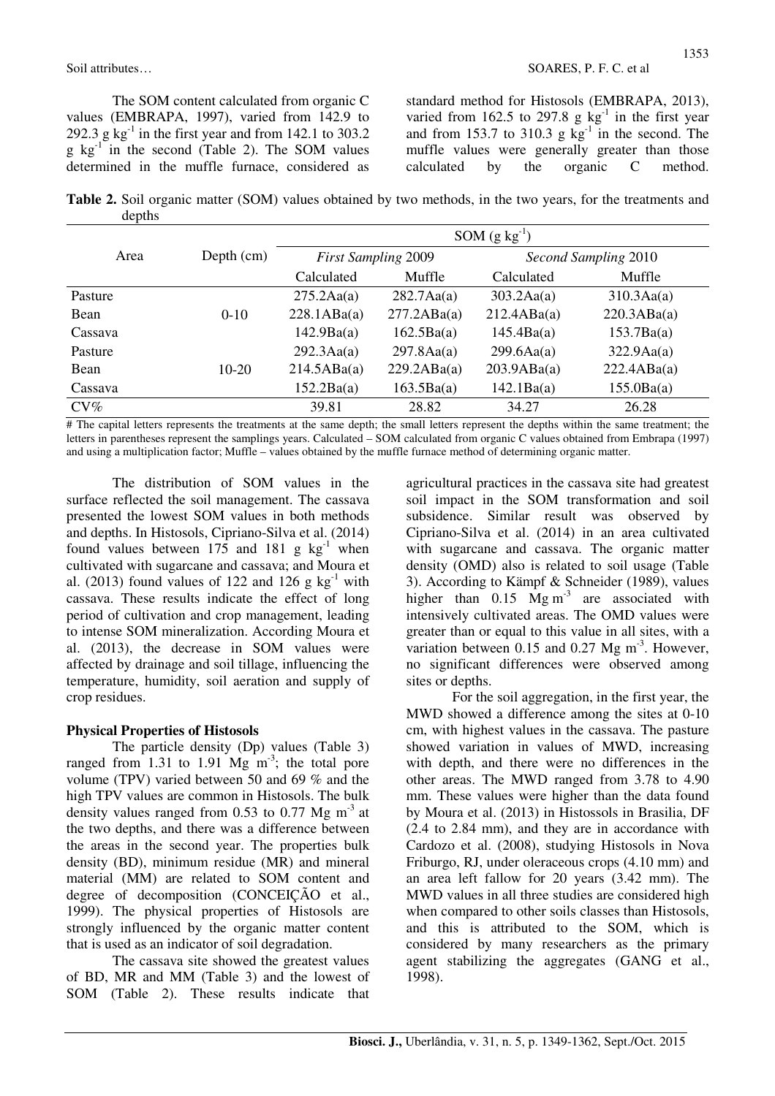The SOM content calculated from organic C values (EMBRAPA, 1997), varied from 142.9 to 292.3 g  $kg^{-1}$  in the first year and from 142.1 to 303.2  $g \text{ kg}^{-1}$  in the second (Table 2). The SOM values determined in the muffle furnace, considered as standard method for Histosols (EMBRAPA, 2013), varied from 162.5 to 297.8 g  $kg^{-1}$  in the first year and from 153.7 to 310.3 g  $\text{kg}^{-1}$  in the second. The muffle values were generally greater than those calculated by the organic C method.

**Table 2.** Soil organic matter (SOM) values obtained by two methods, in the two years, for the treatments and depths

|         |              | $SOM(g kg-1)$       |                            |                      |             |  |  |
|---------|--------------|---------------------|----------------------------|----------------------|-------------|--|--|
| Area    | Depth $(cm)$ |                     | <b>First Sampling 2009</b> | Second Sampling 2010 |             |  |  |
|         |              | Calculated          | Muffle                     | Calculated           | Muffle      |  |  |
| Pasture |              | $275.2\text{Aa(a)}$ | $282.7\text{Aa(a)}$        | 303.2Aa(a)           | 310.3Aa(a)  |  |  |
| Bean    | $0-10$       | 228.1ABa(a)         | 277.2ABa(a)                | 212.4ABa(a)          | 220.3ABa(a) |  |  |
| Cassava |              | 142.9Ba(a)          | 162.5Ba(a)                 | 145.4Ba(a)           | 153.7Ba(a)  |  |  |
| Pasture |              | 292.3Aa(a)          | $297.8\text{Aa(a)}$        | 299.6Aa(a)           | 322.9Aa(a)  |  |  |
| Bean    | $10-20$      | 214.5ABa(a)         | 229.2ABa(a)                | 203.9ABa(a)          | 222.4ABa(a) |  |  |
| Cassava |              | 152.2Ba(a)          | 163.5Ba(a)                 | 142.1Ba(a)           | 155.0Ba(a)  |  |  |
| $CV\%$  |              | 39.81               | 28.82                      | 34.27                | 26.28       |  |  |

# The capital letters represents the treatments at the same depth; the small letters represent the depths within the same treatment; the letters in parentheses represent the samplings years. Calculated – SOM calculated from organic C values obtained from Embrapa (1997) and using a multiplication factor; Muffle – values obtained by the muffle furnace method of determining organic matter.

The distribution of SOM values in the surface reflected the soil management. The cassava presented the lowest SOM values in both methods and depths. In Histosols, Cipriano-Silva et al. (2014) found values between  $175$  and  $181$  g kg<sup>-1</sup> when cultivated with sugarcane and cassava; and Moura et al. (2013) found values of 122 and 126 g  $kg^{-1}$  with cassava. These results indicate the effect of long period of cultivation and crop management, leading to intense SOM mineralization. According Moura et al. (2013), the decrease in SOM values were affected by drainage and soil tillage, influencing the temperature, humidity, soil aeration and supply of crop residues.

## **Physical Properties of Histosols**

The particle density (Dp) values (Table 3) ranged from 1.31 to 1.91 Mg  $\text{m}^3$ ; the total pore volume (TPV) varied between 50 and 69 % and the high TPV values are common in Histosols. The bulk density values ranged from 0.53 to 0.77 Mg  $m<sup>-3</sup>$  at the two depths, and there was a difference between the areas in the second year. The properties bulk density (BD), minimum residue (MR) and mineral material (MM) are related to SOM content and degree of decomposition (CONCEIÇÃO et al., 1999). The physical properties of Histosols are strongly influenced by the organic matter content that is used as an indicator of soil degradation.

The cassava site showed the greatest values of BD, MR and MM (Table 3) and the lowest of SOM (Table 2). These results indicate that

agricultural practices in the cassava site had greatest soil impact in the SOM transformation and soil subsidence. Similar result was observed by Cipriano-Silva et al. (2014) in an area cultivated with sugarcane and cassava. The organic matter density (OMD) also is related to soil usage (Table 3). According to Kämpf & Schneider (1989), values higher than  $0.15$   $Mg\ m^3$  are associated with intensively cultivated areas. The OMD values were greater than or equal to this value in all sites, with a variation between  $0.15$  and  $0.27$  Mg m<sup>-3</sup>. However, no significant differences were observed among sites or depths.

For the soil aggregation, in the first year, the MWD showed a difference among the sites at 0-10 cm, with highest values in the cassava. The pasture showed variation in values of MWD, increasing with depth, and there were no differences in the other areas. The MWD ranged from 3.78 to 4.90 mm. These values were higher than the data found by Moura et al. (2013) in Histossols in Brasilia, DF (2.4 to 2.84 mm), and they are in accordance with Cardozo et al. (2008), studying Histosols in Nova Friburgo, RJ, under oleraceous crops (4.10 mm) and an area left fallow for 20 years (3.42 mm). The MWD values in all three studies are considered high when compared to other soils classes than Histosols, and this is attributed to the SOM, which is considered by many researchers as the primary agent stabilizing the aggregates (GANG et al., 1998).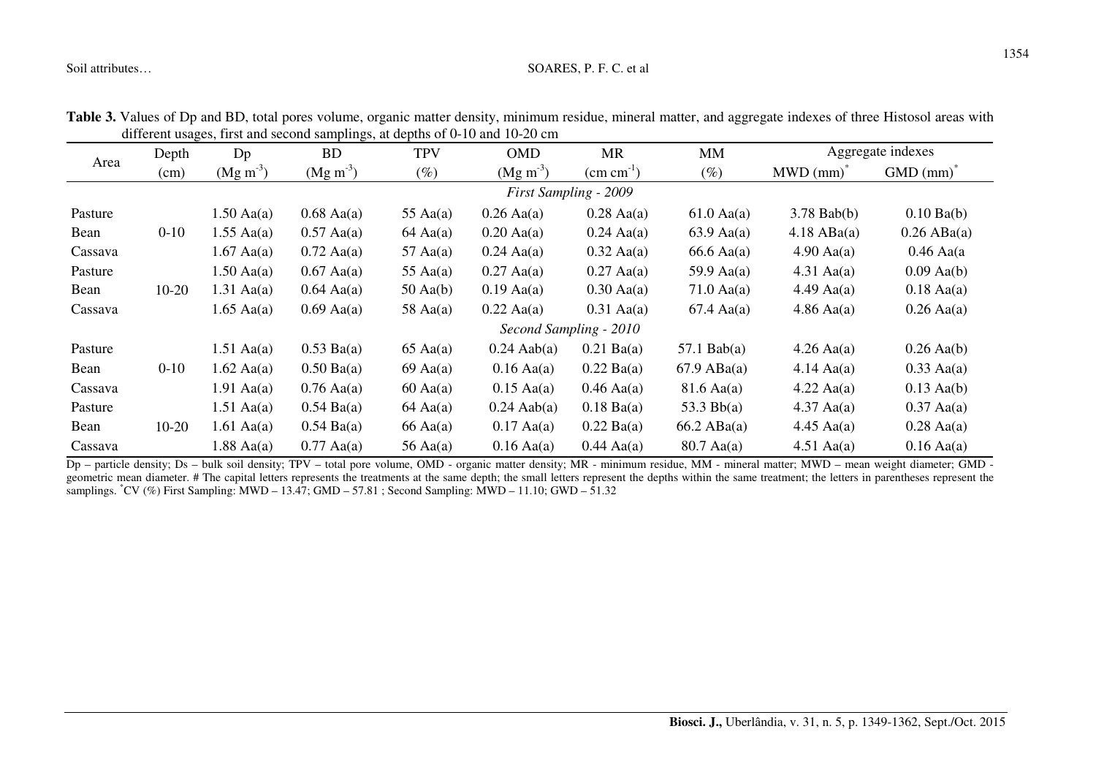#### Soil attributes… SOARES, P. F. C. et al.

| unicient usages, mist and second samplings, at deputs of 0-10 and 10-20 cm |          |                        |                      |                    |                       |                       |                      |                      |               |  |
|----------------------------------------------------------------------------|----------|------------------------|----------------------|--------------------|-----------------------|-----------------------|----------------------|----------------------|---------------|--|
| Area                                                                       | Depth    | Dp                     | <b>BD</b>            | <b>TPV</b>         | <b>OMD</b>            | <b>MR</b>             | <b>MM</b>            | Aggregate indexes    |               |  |
|                                                                            | (cm)     | $(Mg\ m^3)$            | $(Mg\ m^3)$          | $(\%)$             | $(Mg \text{ m}^{-3})$ | $\text{(cm cm}^{-1})$ | $(\%)$               | $MWD (mm)^*$         | $GMD (mm)^*$  |  |
|                                                                            |          | First Sampling - 2009  |                      |                    |                       |                       |                      |                      |               |  |
| Pasture                                                                    |          | $1.50$ Aa(a)           | $0.68$ Aa(a)         | 55 Aa $(a)$        | $0.26$ Aa(a)          | $0.28$ Aa(a)          | $61.0$ Aa(a)         | $3.78$ Bab(b)        | $0.10$ Ba(b)  |  |
| Bean                                                                       | $0 - 10$ | $1.55$ Aa(a)           | $0.57$ Aa(a)         | $64 \text{ Aa}(a)$ | $0.20$ Aa(a)          | $0.24$ Aa(a)          | $63.9$ Aa(a)         | $4.18$ ABa(a)        | $0.26$ ABa(a) |  |
| Cassava                                                                    |          | $1.67$ Aa(a)           | $0.72$ Aa(a)         | 57 Aa $(a)$        | $0.24$ Aa(a)          | $0.32$ Aa(a)          | $66.6$ Aa(a)         | $4.90 \text{ Aa(a)}$ | $0.46$ Aa(a   |  |
| Pasture                                                                    |          | $1.50$ Aa(a)           | $0.67$ Aa(a)         | 55 Aa $(a)$        | $0.27$ Aa(a)          | $0.27$ Aa(a)          | 59.9 A $a(a)$        | $4.31$ Aa(a)         | $0.09$ Aa(b)  |  |
| Bean                                                                       | $10-20$  | $1.31$ Aa(a)           | $0.64$ Aa(a)         | $50$ Aa(b)         | $0.19$ Aa(a)          | $0.30$ Aa(a)          | $71.0$ Aa(a)         | $4.49$ Aa(a)         | $0.18$ Aa(a)  |  |
| Cassava                                                                    |          | $1.65$ Aa(a)           | $0.69$ Aa(a)         | 58 Aa $(a)$        | $0.22$ Aa(a)          | $0.31$ Aa(a)          | $67.4$ Aa(a)         | $4.86$ Aa(a)         | $0.26$ Aa(a)  |  |
|                                                                            |          | Second Sampling - 2010 |                      |                    |                       |                       |                      |                      |               |  |
| Pasture                                                                    |          | $1.51$ Aa(a)           | $0.53$ Ba(a)         | $65 \text{ Aa(a)}$ | $0.24$ Aab(a)         | $0.21$ Ba(a)          | $57.1$ Bab(a)        | $4.26$ Aa(a)         | $0.26$ Aa(b)  |  |
| Bean                                                                       | $0 - 10$ | $1.62$ Aa(a)           | $0.50$ Ba(a)         | $69$ Aa(a)         | $0.16$ Aa(a)          | $0.22$ Ba(a)          | $67.9$ ABa(a)        | $4.14 \text{ Aa(a)}$ | $0.33$ Aa(a)  |  |
| Cassava                                                                    |          | $1.91$ Aa(a)           | $0.76$ Aa(a)         | $60$ Aa $(a)$      | $0.15$ Aa(a)          | $0.46$ Aa(a)          | $81.6$ Aa(a)         | $4.22$ Aa(a)         | $0.13$ Aa(b)  |  |
| Pasture                                                                    |          | $1.51$ Aa(a)           | $0.54 \text{ Ba}(a)$ | $64 \text{ Aa}(a)$ | $0.24$ Aab(a)         | $0.18$ Ba(a)          | 53.3 $Bb(a)$         | $4.37$ Aa(a)         | $0.37$ Aa(a)  |  |
| Bean                                                                       | $10-20$  | $1.61$ Aa(a)           | $0.54 \text{ Ba}(a)$ | $66$ Aa $(a)$      | $0.17$ Aa(a)          | $0.22$ Ba(a)          | $66.2$ ABa(a)        | $4.45 \text{ Aa(a)}$ | $0.28$ Aa(a)  |  |
| Cassava                                                                    |          | $1.88$ Aa(a)           | $0.77$ Aa(a)         | 56 Aa $(a)$        | $0.16$ Aa(a)          | $0.44$ Aa(a)          | $80.7 \text{ Aa(a)}$ | $4.51$ Aa(a)         | $0.16$ Aa(a)  |  |

**Table 3.** Values of Dp and BD, total pores volume, organic matter density, minimum residue, mineral matter, and aggregate indexes of three Histosol areas with different usages, first and second samplings, at depths of 0-10 and 10-20 cm

 Dp – particle density; Ds – bulk soil density; TPV – total pore volume, OMD - organic matter density; MR - minimum residue, MM - mineral matter; MWD – mean weight diameter; GMD geometric mean diameter. # The capital letters represents the treatments at the same depth; the small letters represent the depths within the same treatment; the letters in parentheses represent the samplings. \*CV (%) First Sampling: MWD – 13.47; GMD – 57.81 ; Second Sampling: MWD – 11.10; GWD – 51.32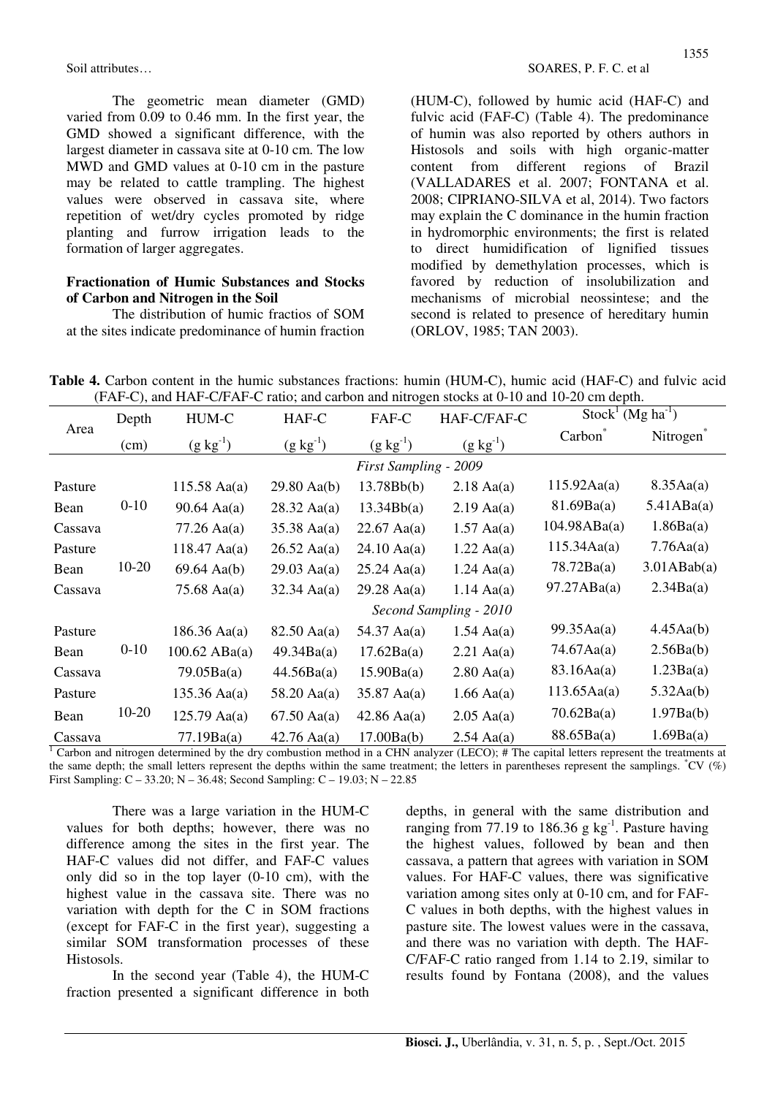The geometric mean diameter (GMD) varied from 0.09 to 0.46 mm. In the first year, the GMD showed a significant difference, with the largest diameter in cassava site at 0-10 cm. The low MWD and GMD values at 0-10 cm in the pasture may be related to cattle trampling. The highest values were observed in cassava site, where repetition of wet/dry cycles promoted by ridge planting and furrow irrigation leads to the formation of larger aggregates.

## **Fractionation of Humic Substances and Stocks of Carbon and Nitrogen in the Soil**

The distribution of humic fractios of SOM at the sites indicate predominance of humin fraction (HUM-C), followed by humic acid (HAF-C) and fulvic acid (FAF-C) (Table 4). The predominance of humin was also reported by others authors in Histosols and soils with high organic-matter content from different regions of Brazil (VALLADARES et al. 2007; FONTANA et al. 2008; CIPRIANO-SILVA et al, 2014). Two factors may explain the C dominance in the humin fraction in hydromorphic environments; the first is related to direct humidification of lignified tissues modified by demethylation processes, which is favored by reduction of insolubilization and mechanisms of microbial neossintese; and the second is related to presence of hereditary humin (ORLOV, 1985; TAN 2003).

**Table 4.** Carbon content in the humic substances fractions: humin (HUM-C), humic acid (HAF-C) and fulvic acid (FAF-C), and HAF-C/FAF-C ratio; and carbon and nitrogen stocks at 0-10 and 10-20 cm depth.

|         | Depth    | HUM-C                          | HAF-C                 | FAF-C                         | HAF-C/FAF-C            | $Stock1 (Mg ha-1)$  |                       |
|---------|----------|--------------------------------|-----------------------|-------------------------------|------------------------|---------------------|-----------------------|
| Area    | (cm)     | $(g kg^{-1})$                  | $(g kg^{-1})$         | $(g kg^{-1})$                 | $(g kg^{-1})$          | Carbon              | Nitrogen <sup>*</sup> |
|         |          |                                | First Sampling - 2009 |                               |                        |                     |                       |
| Pasture |          | $115.58$ Aa(a)                 | $29.80 \text{ Aa(b)}$ | 13.78Bb(b)                    | $2.18$ Aa(a)           | 115.92Aa(a)         | 8.35Aa(a)             |
| Bean    | $0-10$   | $90.64 \text{ Aa(a)}$          | $28.32 \text{ Aa(a)}$ | 13.34Bb(a)                    | $2.19$ Aa(a)           | 81.69Ba(a)          | 5.41ABa(a)            |
| Cassava |          | $35.38$ Aa(a)<br>$77.26$ Aa(a) |                       | $22.67$ Aa(a)                 | $1.57$ Aa(a)           | $104.98$ ABa(a)     | 1.86Ba(a)             |
| Pasture |          | $118.47 \text{ Aa}(a)$         | $26.52 \text{ Aa(a)}$ | $24.10 \text{ Aa(a)}$         | $1.22$ Aa(a)           | 115.34Aa(a)         | 7.76Aa(a)             |
| Bean    | 10-20    | $69.64$ Aa(b)                  | $29.03 \text{ Aa(a)}$ | $25.24 \text{ Aa(a)}$         | $1.24$ Aa(a)           | 78.72Ba(a)          | $3.01$ ABab $(a)$     |
| Cassava |          | 75.68 A $a$ (a)                | $32.34 \text{ Aa(a)}$ | $29.28$ Aa(a)<br>$1.14$ Aa(a) |                        | 97.27ABa(a)         | 2.34Ba(a)             |
|         |          |                                |                       |                               | Second Sampling - 2010 |                     |                       |
| Pasture |          | $186.36 \text{ Aa(a)}$         | 82.50 Aa(a)           | 54.37 Aa(a)                   | $1.54$ Aa(a)           | 99.35Aa(a)          | 4.45Aa(b)             |
| Bean    | $0 - 10$ | $100.62 \text{ ABa(a)}$        | 49.34Ba(a)            | 17.62Ba(a)                    | $2.21$ Aa(a)           | $74.67\text{Aa(a)}$ | 2.56Ba(b)             |
| Cassava |          | 79.05Ba(a)<br>44.56Ba(a)       |                       | 15.90Ba(a)                    | $2.80$ Aa(a)           | 83.16Aa(a)          | 1.23Ba(a)             |
| Pasture |          | $135.36$ Aa(a)                 | 58.20 Aa(a)           | $35.87 \text{ Aa(a)}$         | $1.66$ Aa(a)           | 113.65Aa(a)         | 5.32Aa(b)             |
| Bean    | 10-20    | $125.79 \text{ Aa(a)}$         | $67.50 \text{ Aa(a)}$ | $42.86 \text{ Aa(a)}$         | $2.05$ Aa(a)           | 70.62Ba(a)          | 1.97Ba(b)             |
| Cassava |          | 77.19Ba(a)                     | $42.76 \text{ Aa(a)}$ | 17.00Ba(b)                    | $2.54$ Aa(a)           | 88.65Ba(a)          | 1.69Ba(a)             |

<sup>1</sup> Carbon and nitrogen determined by the dry combustion method in a CHN analyzer (LECO); # The capital letters represent the treatments at the same depth; the small letters represent the depths within the same treatment; the letters in parentheses represent the samplings.  $^{\circ}CV$  (%) First Sampling: C – 33.20; N – 36.48; Second Sampling: C – 19.03; N – 22.85

There was a large variation in the HUM-C values for both depths; however, there was no difference among the sites in the first year. The HAF-C values did not differ, and FAF-C values only did so in the top layer (0-10 cm), with the highest value in the cassava site. There was no variation with depth for the C in SOM fractions (except for FAF-C in the first year), suggesting a similar SOM transformation processes of these Histosols.

In the second year (Table 4), the HUM-C fraction presented a significant difference in both

depths, in general with the same distribution and ranging from 77.19 to 186.36 g  $kg^{-1}$ . Pasture having the highest values, followed by bean and then cassava, a pattern that agrees with variation in SOM values. For HAF-C values, there was significative variation among sites only at 0-10 cm, and for FAF-C values in both depths, with the highest values in pasture site. The lowest values were in the cassava, and there was no variation with depth. The HAF-C/FAF-C ratio ranged from 1.14 to 2.19, similar to results found by Fontana (2008), and the values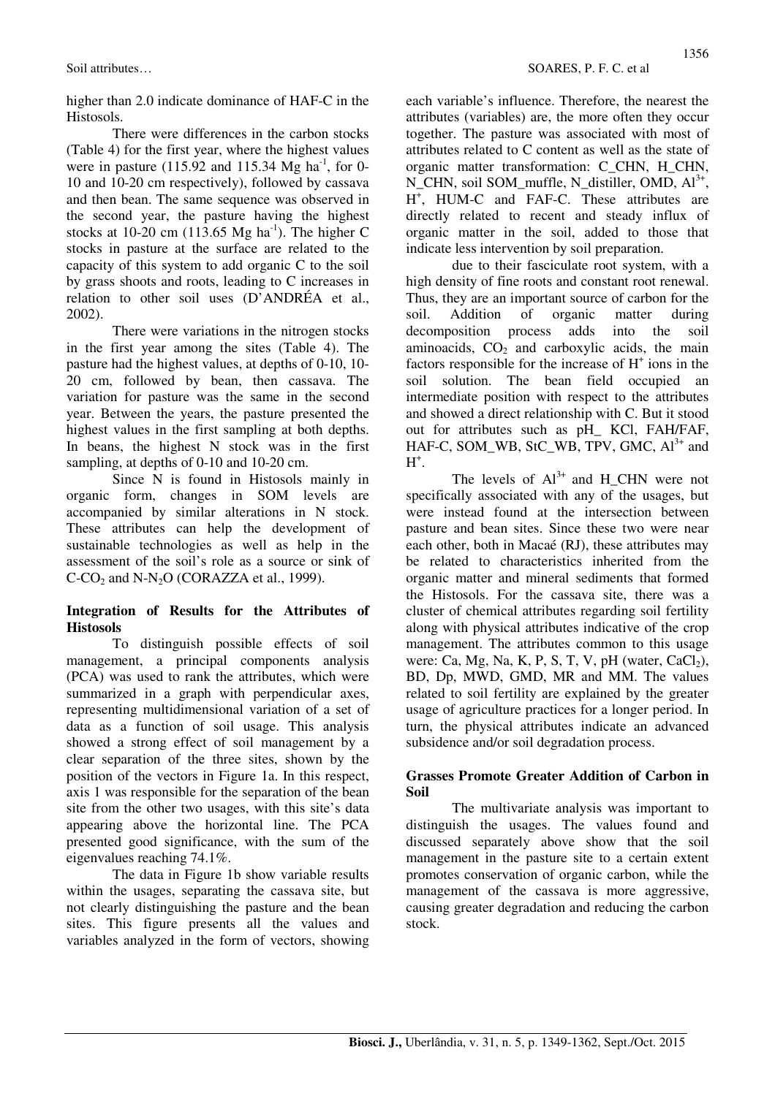higher than 2.0 indicate dominance of HAF-C in the Histosols.

There were differences in the carbon stocks (Table 4) for the first year, where the highest values were in pasture (115.92 and 115.34 Mg ha<sup>-1</sup>, for 0-10 and 10-20 cm respectively), followed by cassava and then bean. The same sequence was observed in the second year, the pasture having the highest stocks at 10-20 cm (113.65 Mg ha<sup>-1</sup>). The higher C stocks in pasture at the surface are related to the capacity of this system to add organic C to the soil by grass shoots and roots, leading to C increases in relation to other soil uses (D'ANDRÉA et al., 2002).

There were variations in the nitrogen stocks in the first year among the sites (Table 4). The pasture had the highest values, at depths of 0-10, 10- 20 cm, followed by bean, then cassava. The variation for pasture was the same in the second year. Between the years, the pasture presented the highest values in the first sampling at both depths. In beans, the highest N stock was in the first sampling, at depths of 0-10 and 10-20 cm.

Since N is found in Histosols mainly in organic form, changes in SOM levels are accompanied by similar alterations in N stock. These attributes can help the development of sustainable technologies as well as help in the assessment of the soil's role as a source or sink of  $C-CO<sub>2</sub>$  and N-N<sub>2</sub>O (CORAZZA et al., 1999).

## **Integration of Results for the Attributes of Histosols**

To distinguish possible effects of soil management, a principal components analysis (PCA) was used to rank the attributes, which were summarized in a graph with perpendicular axes, representing multidimensional variation of a set of data as a function of soil usage. This analysis showed a strong effect of soil management by a clear separation of the three sites, shown by the position of the vectors in Figure 1a. In this respect, axis 1 was responsible for the separation of the bean site from the other two usages, with this site's data appearing above the horizontal line. The PCA presented good significance, with the sum of the eigenvalues reaching 74.1%.

The data in Figure 1b show variable results within the usages, separating the cassava site, but not clearly distinguishing the pasture and the bean sites. This figure presents all the values and variables analyzed in the form of vectors, showing each variable's influence. Therefore, the nearest the attributes (variables) are, the more often they occur together. The pasture was associated with most of attributes related to C content as well as the state of organic matter transformation: C\_CHN, H\_CHN, N\_CHN, soil SOM\_muffle, N\_distiller, OMD, Al<sup>3+</sup>, H + , HUM-C and FAF-C. These attributes are directly related to recent and steady influx of organic matter in the soil, added to those that indicate less intervention by soil preparation.

due to their fasciculate root system, with a high density of fine roots and constant root renewal. Thus, they are an important source of carbon for the soil. Addition of organic matter during decomposition process adds into the soil aminoacids,  $CO<sub>2</sub>$  and carboxylic acids, the main factors responsible for the increase of  $H^+$  ions in the soil solution. The bean field occupied an intermediate position with respect to the attributes and showed a direct relationship with C. But it stood out for attributes such as pH\_ KCl, FAH/FAF, HAF-C, SOM\_WB, StC\_WB, TPV, GMC, Al<sup>3+</sup> and  $H^+$ .

The levels of  $Al^{3+}$  and H CHN were not specifically associated with any of the usages, but were instead found at the intersection between pasture and bean sites. Since these two were near each other, both in Macaé (RJ), these attributes may be related to characteristics inherited from the organic matter and mineral sediments that formed the Histosols. For the cassava site, there was a cluster of chemical attributes regarding soil fertility along with physical attributes indicative of the crop management. The attributes common to this usage were: Ca, Mg, Na, K, P, S, T, V, pH (water,  $CaCl<sub>2</sub>$ ), BD, Dp, MWD, GMD, MR and MM. The values related to soil fertility are explained by the greater usage of agriculture practices for a longer period. In turn, the physical attributes indicate an advanced subsidence and/or soil degradation process.

## **Grasses Promote Greater Addition of Carbon in Soil**

The multivariate analysis was important to distinguish the usages. The values found and discussed separately above show that the soil management in the pasture site to a certain extent promotes conservation of organic carbon, while the management of the cassava is more aggressive, causing greater degradation and reducing the carbon stock.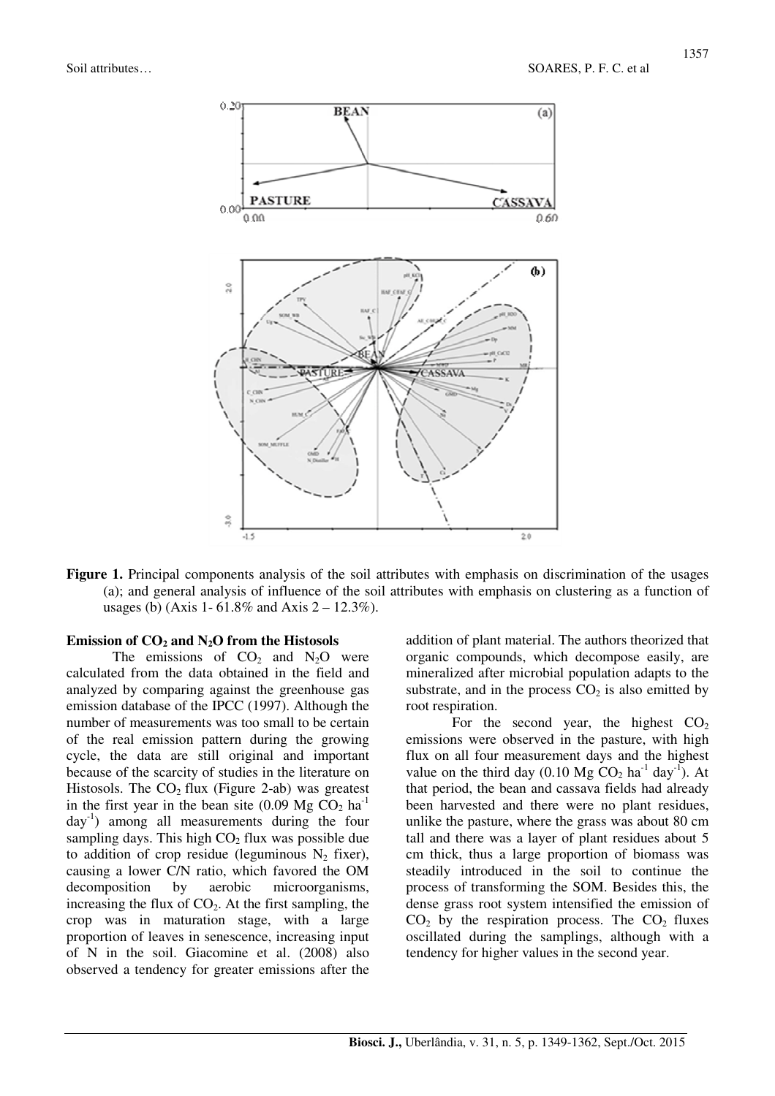

**Figure 1.** Principal components analysis of the soil attributes with emphasis on discrimination of the usages (a); and general analysis of influence of the soil attributes with emphasis on clustering as a function of usages (b) (Axis 1-  $61.8\%$  and Axis  $2 - 12.3\%$ ).

#### **Emission of CO2 and N2O from the Histosols**

The emissions of  $CO<sub>2</sub>$  and  $N<sub>2</sub>O$  were calculated from the data obtained in the field and analyzed by comparing against the greenhouse gas emission database of the IPCC (1997). Although the number of measurements was too small to be certain of the real emission pattern during the growing cycle, the data are still original and important because of the scarcity of studies in the literature on Histosols. The  $CO<sub>2</sub>$  flux (Figure 2-ab) was greatest in the first year in the bean site  $(0.09 \text{ Mg } CO<sub>2</sub> \text{ ha}^{-1})$  $day^{-1}$ ) among all measurements during the four sampling days. This high  $CO<sub>2</sub>$  flux was possible due to addition of crop residue (leguminous  $N_2$  fixer), causing a lower C/N ratio, which favored the OM decomposition by aerobic microorganisms, increasing the flux of  $CO<sub>2</sub>$ . At the first sampling, the crop was in maturation stage, with a large proportion of leaves in senescence, increasing input of N in the soil. Giacomine et al. (2008) also observed a tendency for greater emissions after the

addition of plant material. The authors theorized that organic compounds, which decompose easily, are mineralized after microbial population adapts to the substrate, and in the process  $CO<sub>2</sub>$  is also emitted by root respiration.

For the second year, the highest  $CO<sub>2</sub>$ emissions were observed in the pasture, with high flux on all four measurement days and the highest value on the third day  $(0.10 \text{ Mg } CO_2 \text{ ha}^{-1} \text{ day}^{-1})$ . At that period, the bean and cassava fields had already been harvested and there were no plant residues, unlike the pasture, where the grass was about 80 cm tall and there was a layer of plant residues about 5 cm thick, thus a large proportion of biomass was steadily introduced in the soil to continue the process of transforming the SOM. Besides this, the dense grass root system intensified the emission of  $CO<sub>2</sub>$  by the respiration process. The  $CO<sub>2</sub>$  fluxes oscillated during the samplings, although with a tendency for higher values in the second year.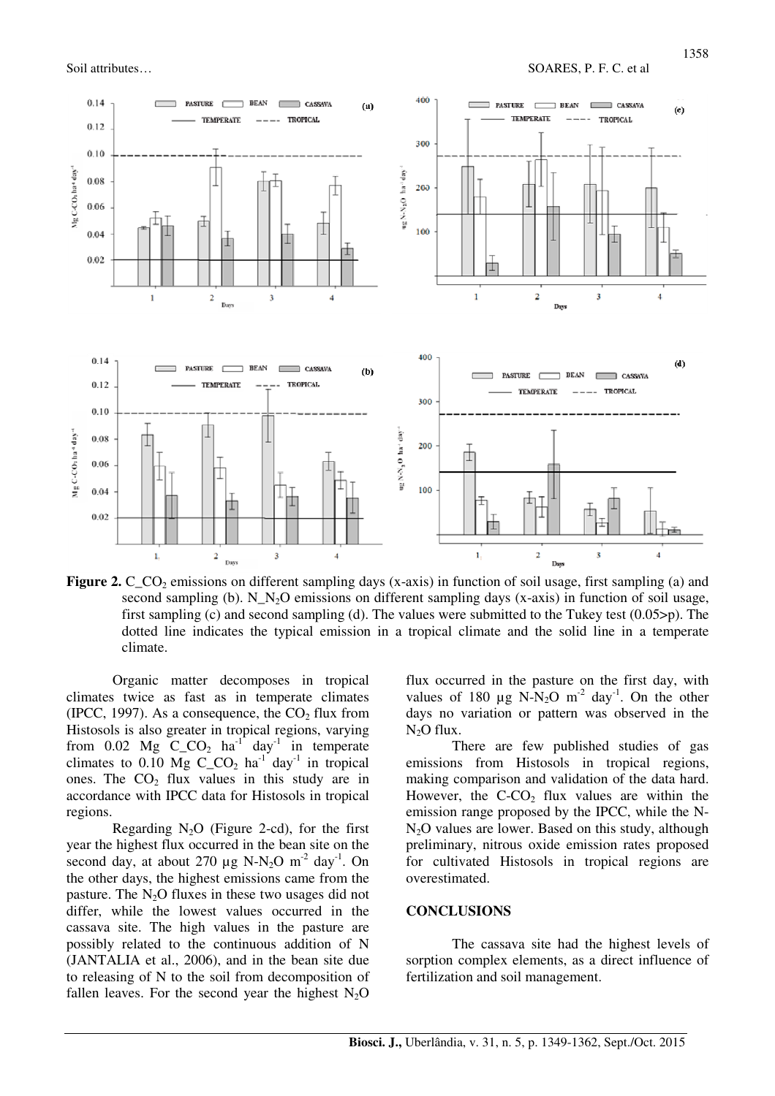

**Figure 2.** C\_CO<sub>2</sub> emissions on different sampling days (x-axis) in function of soil usage, first sampling (a) and second sampling (b). N\_N<sub>2</sub>O emissions on different sampling days (x-axis) in function of soil usage, first sampling (c) and second sampling (d). The values were submitted to the Tukey test (0.05>p). The dotted line indicates the typical emission in a tropical climate and the solid line in a temperate climate.

Organic matter decomposes in tropical climates twice as fast as in temperate climates (IPCC, 1997). As a consequence, the  $CO<sub>2</sub>$  flux from Histosols is also greater in tropical regions, varying from  $0.02$  Mg C\_CO<sub>2</sub> ha<sup>-1</sup> day<sup>-1</sup> in temperate climates to 0.10 Mg C CO<sub>2</sub> ha<sup>-1</sup> day<sup>-1</sup> in tropical ones. The  $CO<sub>2</sub>$  flux values in this study are in accordance with IPCC data for Histosols in tropical regions.

Regarding  $N_2O$  (Figure 2-cd), for the first year the highest flux occurred in the bean site on the second day, at about 270  $\mu$ g N-N<sub>2</sub>O m<sup>-2</sup> day<sup>-1</sup>. On the other days, the highest emissions came from the pasture. The  $N<sub>2</sub>O$  fluxes in these two usages did not differ, while the lowest values occurred in the cassava site. The high values in the pasture are possibly related to the continuous addition of N (JANTALIA et al., 2006), and in the bean site due to releasing of N to the soil from decomposition of fallen leaves. For the second year the highest  $N_2O$ 

flux occurred in the pasture on the first day, with values of 180  $\mu$ g N-N<sub>2</sub>O m<sup>-2</sup> day<sup>-1</sup>. On the other days no variation or pattern was observed in the  $N<sub>2</sub>O$  flux.

There are few published studies of gas emissions from Histosols in tropical regions, making comparison and validation of the data hard. However, the  $C-CO<sub>2</sub>$  flux values are within the emission range proposed by the IPCC, while the N- $N<sub>2</sub>O$  values are lower. Based on this study, although preliminary, nitrous oxide emission rates proposed for cultivated Histosols in tropical regions are overestimated.

#### **CONCLUSIONS**

The cassava site had the highest levels of sorption complex elements, as a direct influence of fertilization and soil management.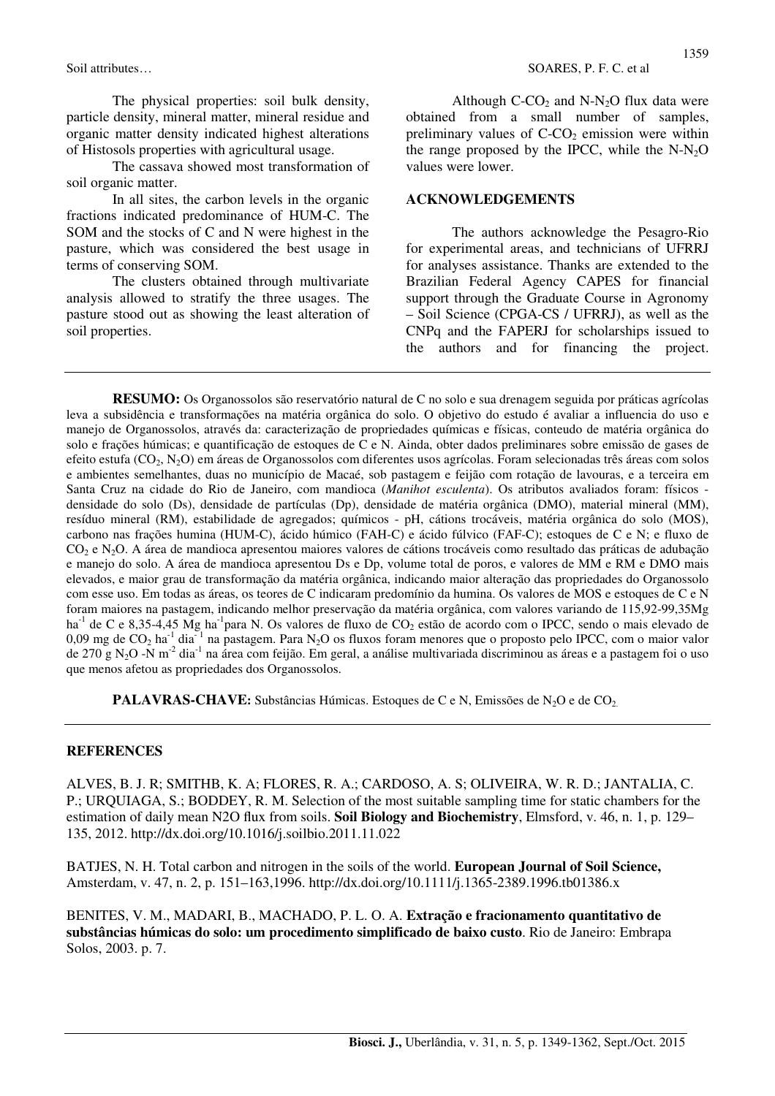The physical properties: soil bulk density, particle density, mineral matter, mineral residue and organic matter density indicated highest alterations of Histosols properties with agricultural usage.

The cassava showed most transformation of soil organic matter.

In all sites, the carbon levels in the organic fractions indicated predominance of HUM-C. The SOM and the stocks of C and N were highest in the pasture, which was considered the best usage in terms of conserving SOM.

The clusters obtained through multivariate analysis allowed to stratify the three usages. The pasture stood out as showing the least alteration of soil properties.

Although  $C-CO_2$  and  $N-N_2O$  flux data were obtained from a small number of samples, preliminary values of  $C-CO<sub>2</sub>$  emission were within the range proposed by the IPCC, while the  $N-N<sub>2</sub>O$ values were lower.

#### **ACKNOWLEDGEMENTS**

The authors acknowledge the Pesagro-Rio for experimental areas, and technicians of UFRRJ for analyses assistance. Thanks are extended to the Brazilian Federal Agency CAPES for financial support through the Graduate Course in Agronomy – Soil Science (CPGA-CS / UFRRJ), as well as the CNPq and the FAPERJ for scholarships issued to the authors and for financing the project.

**RESUMO:** Os Organossolos são reservatório natural de C no solo e sua drenagem seguida por práticas agrícolas leva a subsidência e transformações na matéria orgânica do solo. O objetivo do estudo é avaliar a influencia do uso e manejo de Organossolos, através da: caracterização de propriedades químicas e físicas, conteudo de matéria orgânica do solo e frações húmicas; e quantificação de estoques de C e N. Ainda, obter dados preliminares sobre emissão de gases de efeito estufa (CO2, N2O) em áreas de Organossolos com diferentes usos agrícolas. Foram selecionadas três áreas com solos e ambientes semelhantes, duas no município de Macaé, sob pastagem e feijão com rotação de lavouras, e a terceira em Santa Cruz na cidade do Rio de Janeiro, com mandioca (*Manihot esculenta*). Os atributos avaliados foram: físicos densidade do solo (Ds), densidade de partículas (Dp), densidade de matéria orgânica (DMO), material mineral (MM), resíduo mineral (RM), estabilidade de agregados; químicos - pH, cátions trocáveis, matéria orgânica do solo (MOS), carbono nas frações humina (HUM-C), ácido húmico (FAH-C) e ácido fúlvico (FAF-C); estoques de C e N; e fluxo de CO<sub>2</sub> e N<sub>2</sub>O. A área de mandioca apresentou maiores valores de cátions trocáveis como resultado das práticas de adubação e manejo do solo. A área de mandioca apresentou Ds e Dp, volume total de poros, e valores de MM e RM e DMO mais elevados, e maior grau de transformação da matéria orgânica, indicando maior alteração das propriedades do Organossolo com esse uso. Em todas as áreas, os teores de C indicaram predomínio da humina. Os valores de MOS e estoques de C e N foram maiores na pastagem, indicando melhor preservação da matéria orgânica, com valores variando de 115,92-99,35Mg ha<sup>-1</sup> de C e 8,35-4,45 Mg ha<sup>-1</sup>para N. Os valores de fluxo de CO<sub>2</sub> estão de acordo com o IPCC, sendo o mais elevado de 0,09 mg de  $CO_2$  ha<sup>-1</sup> dia<sup>-1</sup> na pastagem. Para N<sub>2</sub>O os fluxos foram menores que o proposto pelo IPCC, com o maior valor de 270 g N2O -N m-2 dia-1 na área com feijão. Em geral, a análise multivariada discriminou as áreas e a pastagem foi o uso que menos afetou as propriedades dos Organossolos.

**PALAVRAS-CHAVE:** Substâncias Húmicas. Estoques de C e N, Emissões de N<sub>2</sub>O e de CO<sub>2</sub>.

#### **REFERENCES**

ALVES, B. J. R; SMITHB, K. A; FLORES, R. A.; CARDOSO, A. S; OLIVEIRA, W. R. D.; JANTALIA, C. P.; URQUIAGA, S.; BODDEY, R. M. Selection of the most suitable sampling time for static chambers for the estimation of daily mean N2O flux from soils. **Soil Biology and Biochemistry**, Elmsford, v. 46, n. 1, p. 129– 135, 2012. http://dx.doi.org/10.1016/j.soilbio.2011.11.022

BATJES, N. H. Total carbon and nitrogen in the soils of the world. **European Journal of Soil Science,**  Amsterdam, v. 47, n. 2, p. 151–163,1996. http://dx.doi.org/10.1111/j.1365-2389.1996.tb01386.x

BENITES, V. M., MADARI, B., MACHADO, P. L. O. A. **Extração e fracionamento quantitativo de substâncias húmicas do solo: um procedimento simplificado de baixo custo**. Rio de Janeiro: Embrapa Solos, 2003. p. 7.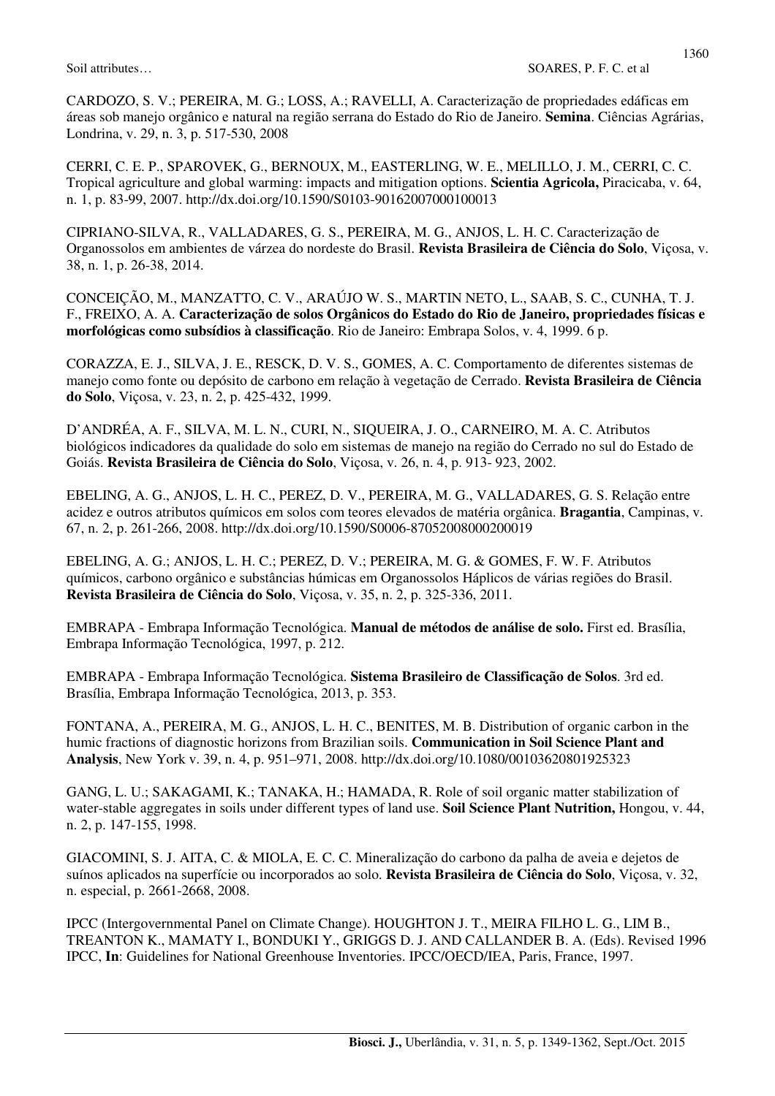CARDOZO, S. V.; PEREIRA, M. G.; LOSS, A.; RAVELLI, A. Caracterização de propriedades edáficas em áreas sob manejo orgânico e natural na região serrana do Estado do Rio de Janeiro. **Semina**. Ciências Agrárias, Londrina, v. 29, n. 3, p. 517-530, 2008

CERRI, C. E. P., SPAROVEK, G., BERNOUX, M., EASTERLING, W. E., MELILLO, J. M., CERRI, C. C. Tropical agriculture and global warming: impacts and mitigation options. **Scientia Agricola,** Piracicaba, v. 64, n. 1, p. 83-99, 2007. http://dx.doi.org/10.1590/S0103-90162007000100013

CIPRIANO-SILVA, R., VALLADARES, G. S., PEREIRA, M. G., ANJOS, L. H. C. Caracterização de Organossolos em ambientes de várzea do nordeste do Brasil. **Revista Brasileira de Ciência do Solo**, Viçosa, v. 38, n. 1, p. 26-38, 2014.

CONCEIÇÃO, M., MANZATTO, C. V., ARAÚJO W. S., MARTIN NETO, L., SAAB, S. C., CUNHA, T. J. F., FREIXO, A. A. **Caracterização de solos Orgânicos do Estado do Rio de Janeiro, propriedades físicas e morfológicas como subsídios à classificação**. Rio de Janeiro: Embrapa Solos, v. 4, 1999. 6 p.

CORAZZA, E. J., SILVA, J. E., RESCK, D. V. S., GOMES, A. C. Comportamento de diferentes sistemas de manejo como fonte ou depósito de carbono em relação à vegetação de Cerrado. **Revista Brasileira de Ciência do Solo**, Viçosa, v. 23, n. 2, p. 425-432, 1999.

D'ANDRÉA, A. F., SILVA, M. L. N., CURI, N., SIQUEIRA, J. O., CARNEIRO, M. A. C. Atributos biológicos indicadores da qualidade do solo em sistemas de manejo na região do Cerrado no sul do Estado de Goiás. **Revista Brasileira de Ciência do Solo**, Viçosa, v. 26, n. 4, p. 913- 923, 2002.

EBELING, A. G., ANJOS, L. H. C., PEREZ, D. V., PEREIRA, M. G., VALLADARES, G. S. Relação entre acidez e outros atributos químicos em solos com teores elevados de matéria orgânica. **Bragantia**, Campinas, v. 67, n. 2, p. 261-266, 2008. http://dx.doi.org/10.1590/S0006-87052008000200019

EBELING, A. G.; ANJOS, L. H. C.; PEREZ, D. V.; PEREIRA, M. G. & GOMES, F. W. F. Atributos químicos, carbono orgânico e substâncias húmicas em Organossolos Háplicos de várias regiões do Brasil. **Revista Brasileira de Ciência do Solo**, Viçosa, v. 35, n. 2, p. 325-336, 2011.

EMBRAPA - Embrapa Informação Tecnológica. **Manual de métodos de análise de solo.** First ed. Brasília, Embrapa Informação Tecnológica, 1997, p. 212.

EMBRAPA - Embrapa Informação Tecnológica. **Sistema Brasileiro de Classificação de Solos**. 3rd ed. Brasília, Embrapa Informação Tecnológica, 2013, p. 353.

FONTANA, A., PEREIRA, M. G., ANJOS, L. H. C., BENITES, M. B. Distribution of organic carbon in the humic fractions of diagnostic horizons from Brazilian soils. **Communication in Soil Science Plant and Analysis**, New York v. 39, n. 4, p. 951–971, 2008. http://dx.doi.org/10.1080/00103620801925323

GANG, L. U.; SAKAGAMI, K.; TANAKA, H.; HAMADA, R. Role of soil organic matter stabilization of water-stable aggregates in soils under different types of land use. **Soil Science Plant Nutrition,** Hongou, v. 44, n. 2, p. 147-155, 1998.

GIACOMINI, S. J. AITA, C. & MIOLA, E. C. C. Mineralização do carbono da palha de aveia e dejetos de suínos aplicados na superfície ou incorporados ao solo. **Revista Brasileira de Ciência do Solo**, Viçosa, v. 32, n. especial, p. 2661-2668, 2008.

IPCC (Intergovernmental Panel on Climate Change). HOUGHTON J. T., MEIRA FILHO L. G., LIM B., TREANTON K., MAMATY I., BONDUKI Y., GRIGGS D. J. AND CALLANDER B. A. (Eds). Revised 1996 IPCC, **In**: Guidelines for National Greenhouse Inventories. IPCC/OECD/IEA, Paris, France, 1997.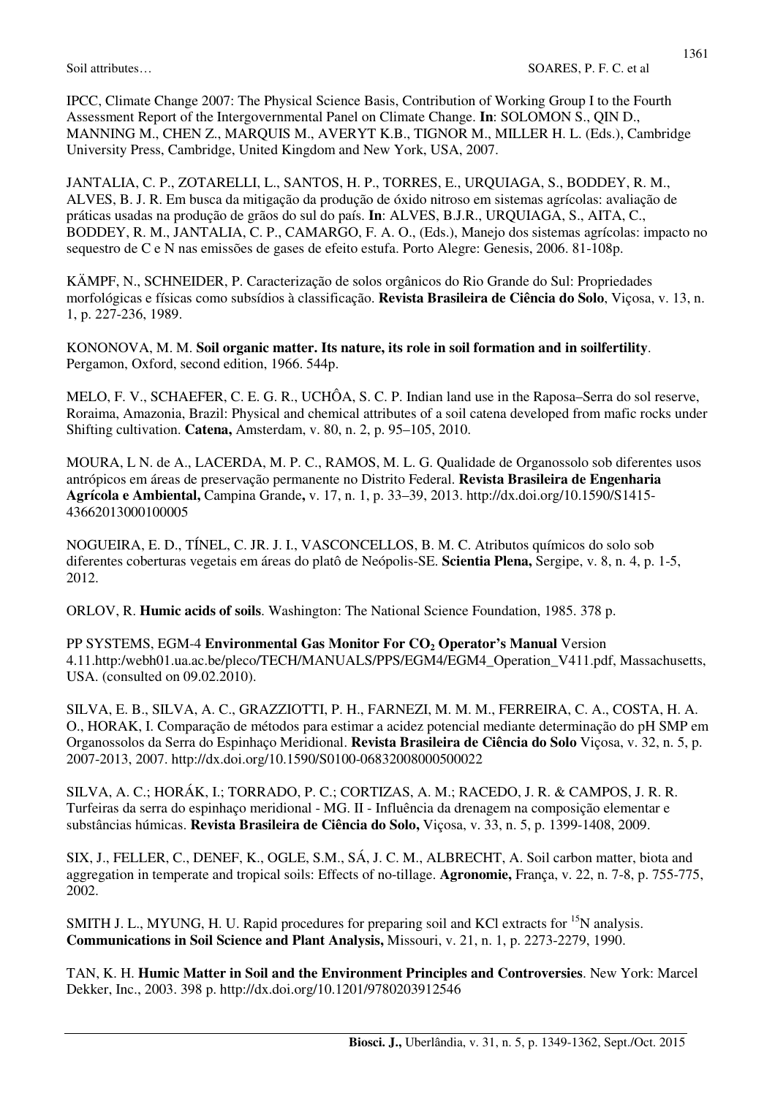JANTALIA, C. P., ZOTARELLI, L., SANTOS, H. P., TORRES, E., URQUIAGA, S., BODDEY, R. M., ALVES, B. J. R. Em busca da mitigação da produção de óxido nitroso em sistemas agrícolas: avaliação de práticas usadas na produção de grãos do sul do país. **In**: ALVES, B.J.R., URQUIAGA, S., AITA, C., BODDEY, R. M., JANTALIA, C. P., CAMARGO, F. A. O., (Eds.), Manejo dos sistemas agrícolas: impacto no sequestro de C e N nas emissões de gases de efeito estufa. Porto Alegre: Genesis, 2006. 81-108p.

KÄMPF, N., SCHNEIDER, P. Caracterização de solos orgânicos do Rio Grande do Sul: Propriedades morfológicas e físicas como subsídios à classificação. **Revista Brasileira de Ciência do Solo**, Viçosa, v. 13, n. 1, p. 227-236, 1989.

KONONOVA, M. M. **Soil organic matter. Its nature, its role in soil formation and in soilfertility**. Pergamon, Oxford, second edition, 1966. 544p.

MELO, F. V., SCHAEFER, C. E. G. R., UCHÔA, S. C. P. Indian land use in the Raposa–Serra do sol reserve, Roraima, Amazonia, Brazil: Physical and chemical attributes of a soil catena developed from mafic rocks under Shifting cultivation. **Catena,** Amsterdam, v. 80, n. 2, p. 95–105, 2010.

MOURA, L N. de A., LACERDA, M. P. C., RAMOS, M. L. G. Qualidade de Organossolo sob diferentes usos antrópicos em áreas de preservação permanente no Distrito Federal. **Revista Brasileira de Engenharia Agrícola e Ambiental,** Campina Grande**,** v. 17, n. 1, p. 33–39, 2013. http://dx.doi.org/10.1590/S1415- 43662013000100005

NOGUEIRA, E. D., TÍNEL, C. JR. J. I., VASCONCELLOS, B. M. C. Atributos químicos do solo sob diferentes coberturas vegetais em áreas do platô de Neópolis-SE. **Scientia Plena,** Sergipe, v. 8, n. 4, p. 1-5, 2012.

ORLOV, R. **Humic acids of soils**. Washington: The National Science Foundation, 1985. 378 p.

PP SYSTEMS, EGM-4 **Environmental Gas Monitor For CO2 Operator's Manual** Version 4.11.http:/webh01.ua.ac.be/pleco/TECH/MANUALS/PPS/EGM4/EGM4\_Operation\_V411.pdf, Massachusetts, USA. (consulted on 09.02.2010).

SILVA, E. B., SILVA, A. C., GRAZZIOTTI, P. H., FARNEZI, M. M. M., FERREIRA, C. A., COSTA, H. A. O., HORAK, I. Comparação de métodos para estimar a acidez potencial mediante determinação do pH SMP em Organossolos da Serra do Espinhaço Meridional. **Revista Brasileira de Ciência do Solo** Viçosa, v. 32, n. 5, p. 2007-2013, 2007. http://dx.doi.org/10.1590/S0100-06832008000500022

SILVA, A. C.; HORÁK, I.; TORRADO, P. C.; CORTIZAS, A. M.; RACEDO, J. R. & CAMPOS, J. R. R. Turfeiras da serra do espinhaço meridional - MG. II - Influência da drenagem na composição elementar e substâncias húmicas. **Revista Brasileira de Ciência do Solo,** Viçosa, v. 33, n. 5, p. 1399-1408, 2009.

SIX, J., FELLER, C., DENEF, K., OGLE, S.M., SÁ, J. C. M., ALBRECHT, A. Soil carbon matter, biota and aggregation in temperate and tropical soils: Effects of no-tillage. **Agronomie,** França, v. 22, n. 7-8, p. 755-775, 2002.

SMITH J. L., MYUNG, H. U. Rapid procedures for preparing soil and KCl extracts for <sup>15</sup>N analysis. **Communications in Soil Science and Plant Analysis,** Missouri, v. 21, n. 1, p. 2273-2279, 1990.

TAN, K. H. **Humic Matter in Soil and the Environment Principles and Controversies**. New York: Marcel Dekker, Inc., 2003. 398 p. http://dx.doi.org/10.1201/9780203912546